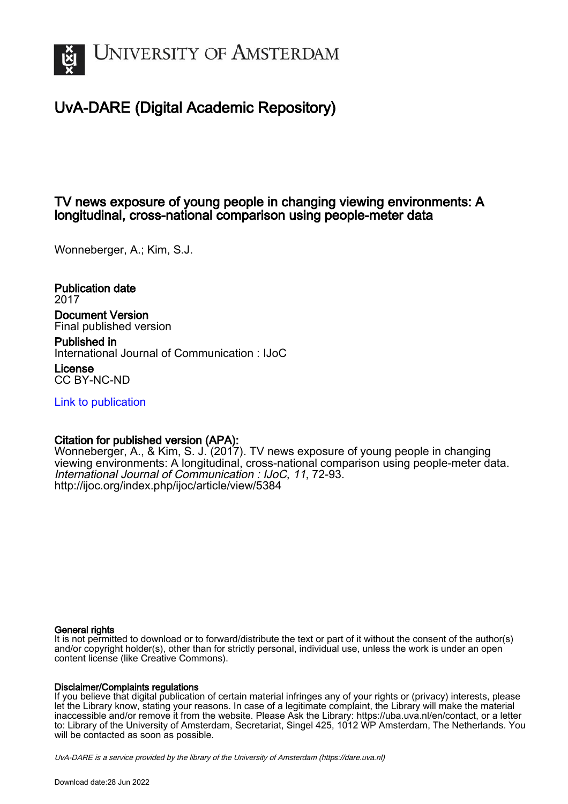

# UvA-DARE (Digital Academic Repository)

## TV news exposure of young people in changing viewing environments: A longitudinal, cross-national comparison using people-meter data

Wonneberger, A.; Kim, S.J.

Publication date 2017 Document Version Final published version

Published in International Journal of Communication : IJoC

License CC BY-NC-ND

[Link to publication](https://dare.uva.nl/personal/pure/en/publications/tv-news-exposure-of-young-people-in-changing-viewing-environments-a-longitudinal-crossnational-comparison-using-peoplemeter-data(9d6acad6-18be-42f6-934e-03b87101061a).html)

## Citation for published version (APA):

Wonneberger, A., & Kim, S. J. (2017). TV news exposure of young people in changing viewing environments: A longitudinal, cross-national comparison using people-meter data. International Journal of Communication : IJoC, 11, 72-93. <http://ijoc.org/index.php/ijoc/article/view/5384>

### General rights

It is not permitted to download or to forward/distribute the text or part of it without the consent of the author(s) and/or copyright holder(s), other than for strictly personal, individual use, unless the work is under an open content license (like Creative Commons).

## Disclaimer/Complaints regulations

If you believe that digital publication of certain material infringes any of your rights or (privacy) interests, please let the Library know, stating your reasons. In case of a legitimate complaint, the Library will make the material inaccessible and/or remove it from the website. Please Ask the Library: https://uba.uva.nl/en/contact, or a letter to: Library of the University of Amsterdam, Secretariat, Singel 425, 1012 WP Amsterdam, The Netherlands. You will be contacted as soon as possible.

UvA-DARE is a service provided by the library of the University of Amsterdam (http*s*://dare.uva.nl)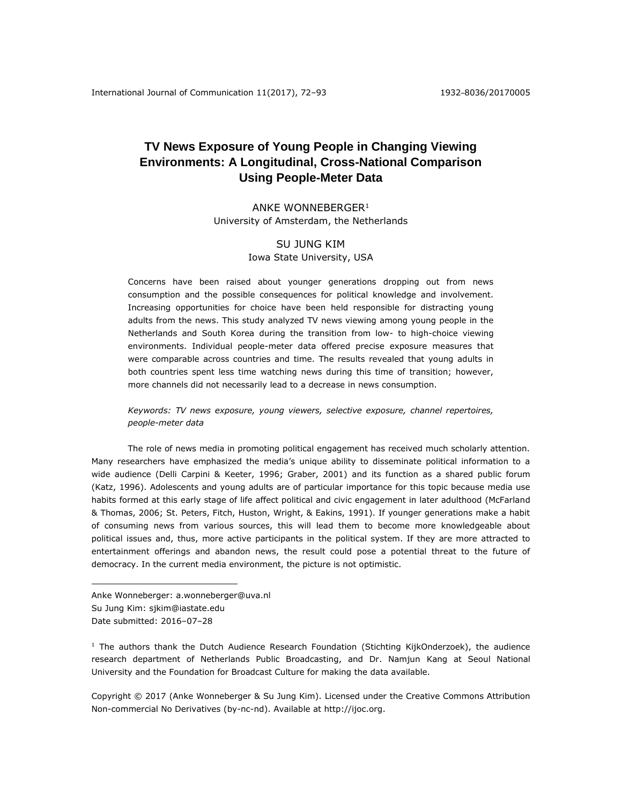## **TV News Exposure of Young People in Changing Viewing Environments: A Longitudinal, Cross-National Comparison Using People-Meter Data**

ANKE WONNEBERGER<sup>1</sup> University of Amsterdam, the Netherlands

### SU JUNG KIM Iowa State University, USA

Concerns have been raised about younger generations dropping out from news consumption and the possible consequences for political knowledge and involvement. Increasing opportunities for choice have been held responsible for distracting young adults from the news. This study analyzed TV news viewing among young people in the Netherlands and South Korea during the transition from low- to high-choice viewing environments. Individual people-meter data offered precise exposure measures that were comparable across countries and time. The results revealed that young adults in both countries spent less time watching news during this time of transition; however, more channels did not necessarily lead to a decrease in news consumption.

*Keywords: TV news exposure, young viewers, selective exposure, channel repertoires, people-meter data*

The role of news media in promoting political engagement has received much scholarly attention. Many researchers have emphasized the media's unique ability to disseminate political information to a wide audience (Delli Carpini & Keeter, 1996; Graber, 2001) and its function as a shared public forum (Katz, 1996). Adolescents and young adults are of particular importance for this topic because media use habits formed at this early stage of life affect political and civic engagement in later adulthood (McFarland & Thomas, 2006; St. Peters, Fitch, Huston, Wright, & Eakins, 1991). If younger generations make a habit of consuming news from various sources, this will lead them to become more knowledgeable about political issues and, thus, more active participants in the political system. If they are more attracted to entertainment offerings and abandon news, the result could pose a potential threat to the future of democracy. In the current media environment, the picture is not optimistic.

Anke Wonneberger: a.wonneberger@uva.nl Su Jung Kim: sjkim@iastate.edu Date submitted: 2016–07–28

 $\overline{a}$ 

 $<sup>1</sup>$  The authors thank the Dutch Audience Research Foundation (Stichting KijkOnderzoek), the audience</sup> research department of Netherlands Public Broadcasting, and Dr. Namjun Kang at Seoul National University and the Foundation for Broadcast Culture for making the data available.

Copyright © 2017 (Anke Wonneberger & Su Jung Kim). Licensed under the Creative Commons Attribution Non-commercial No Derivatives (by-nc-nd). Available at [http://ijoc.org.](http://ijoc.org/)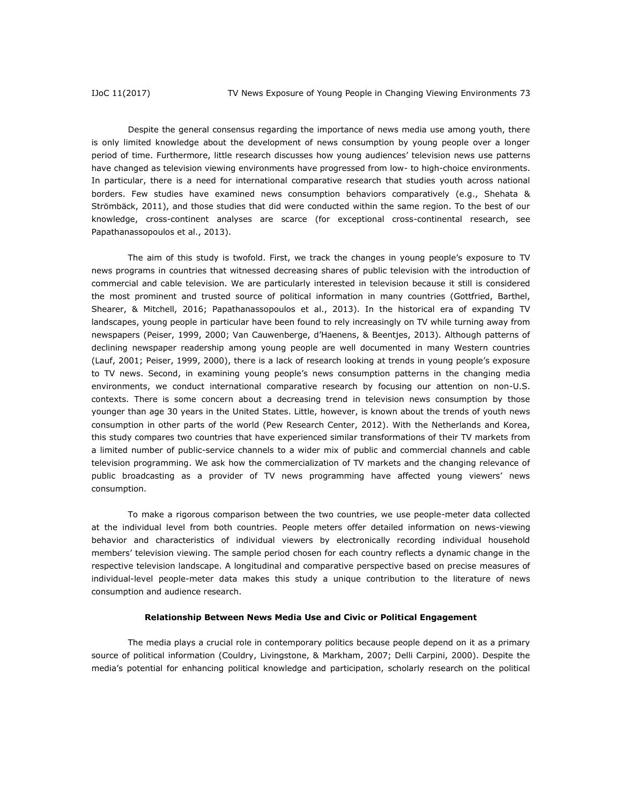Despite the general consensus regarding the importance of news media use among youth, there is only limited knowledge about the development of news consumption by young people over a longer period of time. Furthermore, little research discusses how young audiences' television news use patterns have changed as television viewing environments have progressed from low- to high-choice environments. In particular, there is a need for international comparative research that studies youth across national borders. Few studies have examined news consumption behaviors comparatively (e.g., Shehata & Strömbäck, 2011), and those studies that did were conducted within the same region. To the best of our knowledge, cross-continent analyses are scarce (for exceptional cross-continental research, see Papathanassopoulos et al., 2013).

The aim of this study is twofold. First, we track the changes in young people's exposure to TV news programs in countries that witnessed decreasing shares of public television with the introduction of commercial and cable television. We are particularly interested in television because it still is considered the most prominent and trusted source of political information in many countries (Gottfried, Barthel, Shearer, & Mitchell, 2016; Papathanassopoulos et al., 2013). In the historical era of expanding TV landscapes, young people in particular have been found to rely increasingly on TV while turning away from newspapers (Peiser, 1999, 2000; Van Cauwenberge, d'Haenens, & Beentjes, 2013). Although patterns of declining newspaper readership among young people are well documented in many Western countries (Lauf, 2001; Peiser, 1999, 2000), there is a lack of research looking at trends in young people's exposure to TV news. Second, in examining young people's news consumption patterns in the changing media environments, we conduct international comparative research by focusing our attention on non-U.S. contexts. There is some concern about a decreasing trend in television news consumption by those younger than age 30 years in the United States. Little, however, is known about the trends of youth news consumption in other parts of the world (Pew Research Center, 2012). With the Netherlands and Korea, this study compares two countries that have experienced similar transformations of their TV markets from a limited number of public-service channels to a wider mix of public and commercial channels and cable television programming. We ask how the commercialization of TV markets and the changing relevance of public broadcasting as a provider of TV news programming have affected young viewers' news consumption.

To make a rigorous comparison between the two countries, we use people-meter data collected at the individual level from both countries. People meters offer detailed information on news-viewing behavior and characteristics of individual viewers by electronically recording individual household members' television viewing. The sample period chosen for each country reflects a dynamic change in the respective television landscape. A longitudinal and comparative perspective based on precise measures of individual-level people-meter data makes this study a unique contribution to the literature of news consumption and audience research.

#### **Relationship Between News Media Use and Civic or Political Engagement**

The media plays a crucial role in contemporary politics because people depend on it as a primary source of political information (Couldry, Livingstone, & Markham, 2007; Delli Carpini, 2000). Despite the media's potential for enhancing political knowledge and participation, scholarly research on the political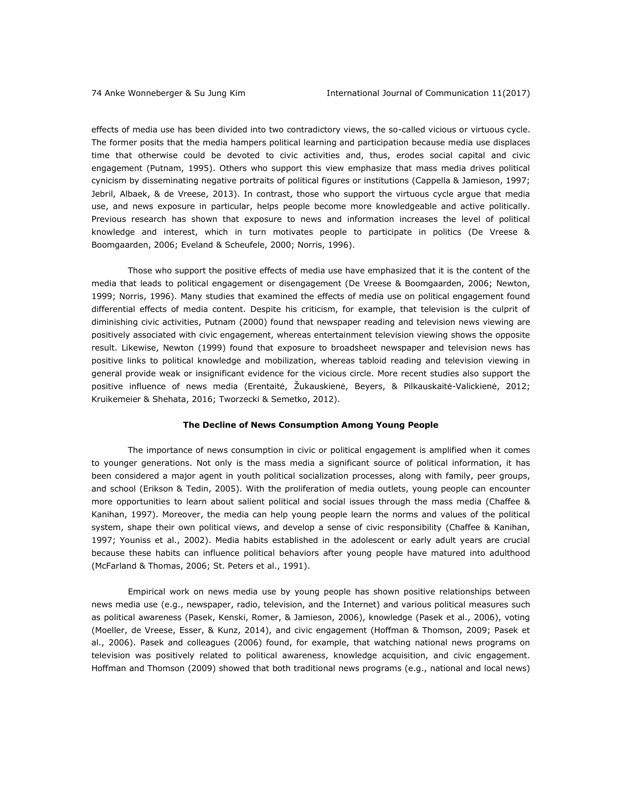effects of media use has been divided into two contradictory views, the so-called vicious or virtuous cycle. The former posits that the media hampers political learning and participation because media use displaces time that otherwise could be devoted to civic activities and, thus, erodes social capital and civic engagement (Putnam, 1995). Others who support this view emphasize that mass media drives political cynicism by disseminating negative portraits of political figures or institutions (Cappella & Jamieson, 1997; Jebril, Albaek, & de Vreese, 2013). In contrast, those who support the virtuous cycle argue that media use, and news exposure in particular, helps people become more knowledgeable and active politically. Previous research has shown that exposure to news and information increases the level of political knowledge and interest, which in turn motivates people to participate in politics (De Vreese & Boomgaarden, 2006; Eveland & Scheufele, 2000; Norris, 1996).

Those who support the positive effects of media use have emphasized that it is the content of the media that leads to political engagement or disengagement (De Vreese & Boomgaarden, 2006; Newton, 1999; Norris, 1996). Many studies that examined the effects of media use on political engagement found differential effects of media content. Despite his criticism, for example, that television is the culprit of diminishing civic activities, Putnam (2000) found that newspaper reading and television news viewing are positively associated with civic engagement, whereas entertainment television viewing shows the opposite result. Likewise, Newton (1999) found that exposure to broadsheet newspaper and television news has positive links to political knowledge and mobilization, whereas tabloid reading and television viewing in general provide weak or insignificant evidence for the vicious circle. More recent studies also support the positive influence of news media (Erentaitė, Žukauskienė, Beyers, & Pilkauskaitė-Valickienė, 2012; Kruikemeier & Shehata, 2016; Tworzecki & Semetko, 2012).

#### **The Decline of News Consumption Among Young People**

The importance of news consumption in civic or political engagement is amplified when it comes to younger generations. Not only is the mass media a significant source of political information, it has been considered a major agent in youth political socialization processes, along with family, peer groups, and school (Erikson & Tedin, 2005). With the proliferation of media outlets, young people can encounter more opportunities to learn about salient political and social issues through the mass media (Chaffee & Kanihan, 1997). Moreover, the media can help young people learn the norms and values of the political system, shape their own political views, and develop a sense of civic responsibility (Chaffee & Kanihan, 1997; Youniss et al., 2002). Media habits established in the adolescent or early adult years are crucial because these habits can influence political behaviors after young people have matured into adulthood (McFarland & Thomas, 2006; St. Peters et al., 1991).

Empirical work on news media use by young people has shown positive relationships between news media use (e.g., newspaper, radio, television, and the Internet) and various political measures such as political awareness (Pasek, Kenski, Romer, & Jamieson, 2006), knowledge (Pasek et al., 2006), voting (Moeller, de Vreese, Esser, & Kunz, 2014), and civic engagement (Hoffman & Thomson, 2009; Pasek et al., 2006). Pasek and colleagues (2006) found, for example, that watching national news programs on television was positively related to political awareness, knowledge acquisition, and civic engagement. Hoffman and Thomson (2009) showed that both traditional news programs (e.g., national and local news)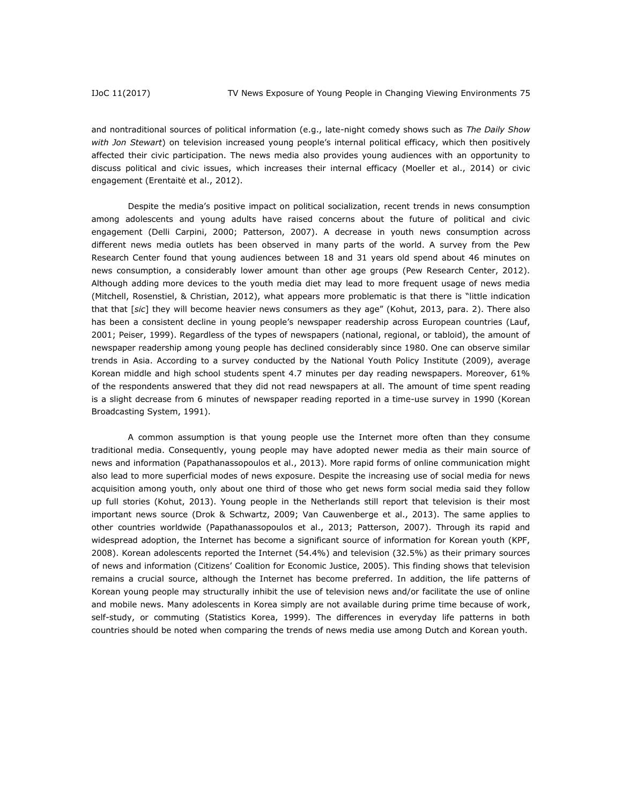and nontraditional sources of political information (e.g., late-night comedy shows such as *The Daily Show with Jon Stewart*) on television increased young people's internal political efficacy, which then positively affected their civic participation. The news media also provides young audiences with an opportunity to discuss political and civic issues, which increases their internal efficacy (Moeller et al., 2014) or civic engagement (Erentaitė et al., 2012).

Despite the media's positive impact on political socialization, recent trends in news consumption among adolescents and young adults have raised concerns about the future of political and civic engagement (Delli Carpini, 2000; Patterson, 2007). A decrease in youth news consumption across different news media outlets has been observed in many parts of the world. A survey from the Pew Research Center found that young audiences between 18 and 31 years old spend about 46 minutes on news consumption, a considerably lower amount than other age groups (Pew Research Center, 2012). Although adding more devices to the youth media diet may lead to more frequent usage of news media (Mitchell, Rosenstiel, & Christian, 2012), what appears more problematic is that there is "little indication that that [*sic*] they will become heavier news consumers as they age" (Kohut, 2013, para. 2). There also has been a consistent decline in young people's newspaper readership across European countries (Lauf, 2001; Peiser, 1999). Regardless of the types of newspapers (national, regional, or tabloid), the amount of newspaper readership among young people has declined considerably since 1980. One can observe similar trends in Asia. According to a survey conducted by the National Youth Policy Institute (2009), average Korean middle and high school students spent 4.7 minutes per day reading newspapers. Moreover, 61% of the respondents answered that they did not read newspapers at all. The amount of time spent reading is a slight decrease from 6 minutes of newspaper reading reported in a time-use survey in 1990 (Korean Broadcasting System, 1991).

A common assumption is that young people use the Internet more often than they consume traditional media. Consequently, young people may have adopted newer media as their main source of news and information (Papathanassopoulos et al., 2013). More rapid forms of online communication might also lead to more superficial modes of news exposure. Despite the increasing use of social media for news acquisition among youth, only about one third of those who get news form social media said they follow up full stories (Kohut, 2013). Young people in the Netherlands still report that television is their most important news source (Drok & Schwartz, 2009; Van Cauwenberge et al., 2013). The same applies to other countries worldwide (Papathanassopoulos et al., 2013; Patterson, 2007). Through its rapid and widespread adoption, the Internet has become a significant source of information for Korean youth (KPF, 2008). Korean adolescents reported the Internet (54.4%) and television (32.5%) as their primary sources of news and information (Citizens' Coalition for Economic Justice, 2005). This finding shows that television remains a crucial source, although the Internet has become preferred. In addition, the life patterns of Korean young people may structurally inhibit the use of television news and/or facilitate the use of online and mobile news. Many adolescents in Korea simply are not available during prime time because of work, self-study, or commuting (Statistics Korea, 1999). The differences in everyday life patterns in both countries should be noted when comparing the trends of news media use among Dutch and Korean youth.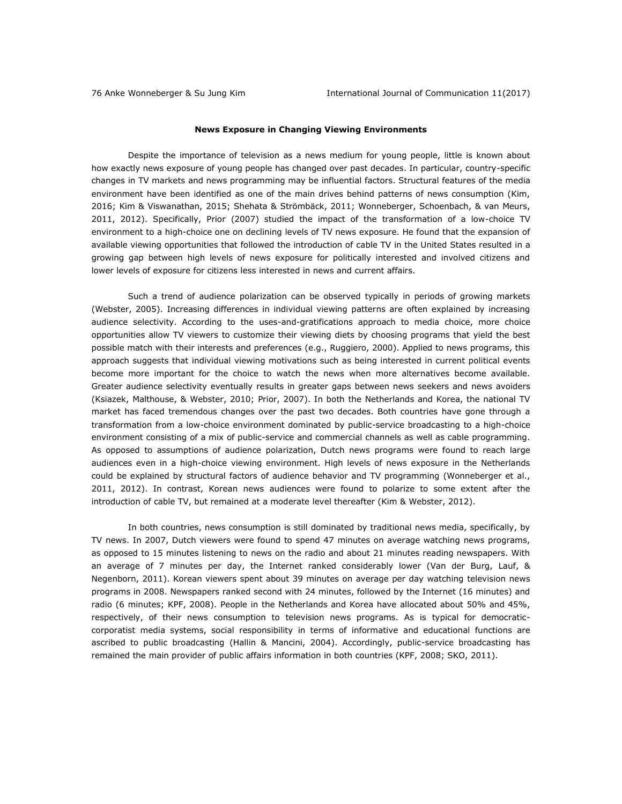#### **News Exposure in Changing Viewing Environments**

Despite the importance of television as a news medium for young people, little is known about how exactly news exposure of young people has changed over past decades. In particular, country-specific changes in TV markets and news programming may be influential factors. Structural features of the media environment have been identified as one of the main drives behind patterns of news consumption (Kim, 2016; Kim & Viswanathan, 2015; Shehata & Strömbäck, 2011; Wonneberger, Schoenbach, & van Meurs, 2011, 2012). Specifically, Prior (2007) studied the impact of the transformation of a low-choice TV environment to a high-choice one on declining levels of TV news exposure. He found that the expansion of available viewing opportunities that followed the introduction of cable TV in the United States resulted in a growing gap between high levels of news exposure for politically interested and involved citizens and lower levels of exposure for citizens less interested in news and current affairs.

Such a trend of audience polarization can be observed typically in periods of growing markets (Webster, 2005). Increasing differences in individual viewing patterns are often explained by increasing audience selectivity. According to the uses-and-gratifications approach to media choice, more choice opportunities allow TV viewers to customize their viewing diets by choosing programs that yield the best possible match with their interests and preferences (e.g., Ruggiero, 2000). Applied to news programs, this approach suggests that individual viewing motivations such as being interested in current political events become more important for the choice to watch the news when more alternatives become available. Greater audience selectivity eventually results in greater gaps between news seekers and news avoiders (Ksiazek, Malthouse, & Webster, 2010; Prior, 2007). In both the Netherlands and Korea, the national TV market has faced tremendous changes over the past two decades. Both countries have gone through a transformation from a low-choice environment dominated by public-service broadcasting to a high-choice environment consisting of a mix of public-service and commercial channels as well as cable programming. As opposed to assumptions of audience polarization, Dutch news programs were found to reach large audiences even in a high-choice viewing environment. High levels of news exposure in the Netherlands could be explained by structural factors of audience behavior and TV programming (Wonneberger et al., 2011, 2012). In contrast, Korean news audiences were found to polarize to some extent after the introduction of cable TV, but remained at a moderate level thereafter (Kim & Webster, 2012).

In both countries, news consumption is still dominated by traditional news media, specifically, by TV news. In 2007, Dutch viewers were found to spend 47 minutes on average watching news programs, as opposed to 15 minutes listening to news on the radio and about 21 minutes reading newspapers. With an average of 7 minutes per day, the Internet ranked considerably lower (Van der Burg, Lauf, & Negenborn, 2011). Korean viewers spent about 39 minutes on average per day watching television news programs in 2008. Newspapers ranked second with 24 minutes, followed by the Internet (16 minutes) and radio (6 minutes; KPF, 2008). People in the Netherlands and Korea have allocated about 50% and 45%, respectively, of their news consumption to television news programs. As is typical for democraticcorporatist media systems, social responsibility in terms of informative and educational functions are ascribed to public broadcasting (Hallin & Mancini, 2004). Accordingly, public-service broadcasting has remained the main provider of public affairs information in both countries (KPF, 2008; SKO, 2011).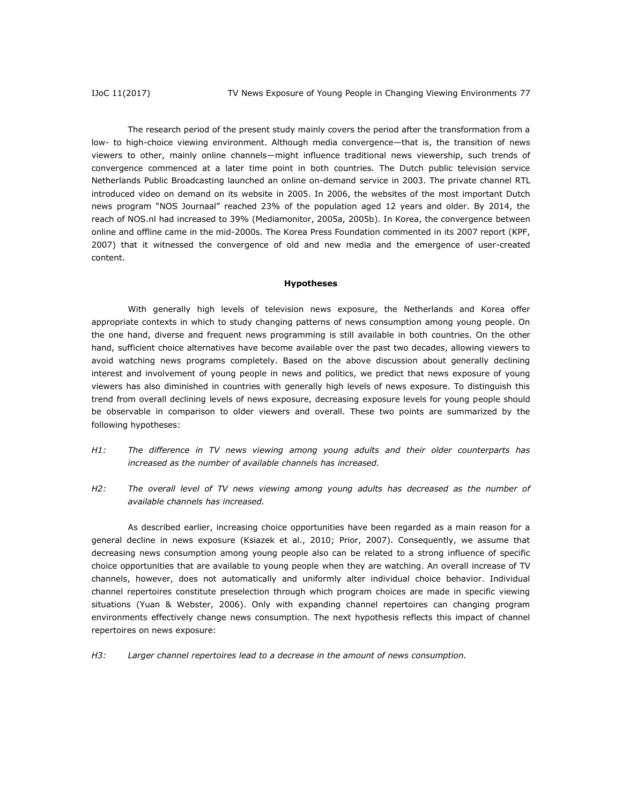The research period of the present study mainly covers the period after the transformation from a low- to high-choice viewing environment. Although media convergence—that is, the transition of news viewers to other, mainly online channels—might influence traditional news viewership, such trends of convergence commenced at a later time point in both countries. The Dutch public television service Netherlands Public Broadcasting launched an online on-demand service in 2003. The private channel RTL introduced video on demand on its website in 2005. In 2006, the websites of the most important Dutch news program "NOS Journaal" reached 23% of the population aged 12 years and older. By 2014, the reach of NOS.nl had increased to 39% (Mediamonitor, 2005a, 2005b). In Korea, the convergence between online and offline came in the mid-2000s. The Korea Press Foundation commented in its 2007 report (KPF, 2007) that it witnessed the convergence of old and new media and the emergence of user-created content.

#### **Hypotheses**

With generally high levels of television news exposure, the Netherlands and Korea offer appropriate contexts in which to study changing patterns of news consumption among young people. On the one hand, diverse and frequent news programming is still available in both countries. On the other hand, sufficient choice alternatives have become available over the past two decades, allowing viewers to avoid watching news programs completely. Based on the above discussion about generally declining interest and involvement of young people in news and politics, we predict that news exposure of young viewers has also diminished in countries with generally high levels of news exposure. To distinguish this trend from overall declining levels of news exposure, decreasing exposure levels for young people should be observable in comparison to older viewers and overall. These two points are summarized by the following hypotheses:

- *H1: The difference in TV news viewing among young adults and their older counterparts has increased as the number of available channels has increased.*
- *H2: The overall level of TV news viewing among young adults has decreased as the number of available channels has increased.*

As described earlier, increasing choice opportunities have been regarded as a main reason for a general decline in news exposure (Ksiazek et al., 2010; Prior, 2007). Consequently, we assume that decreasing news consumption among young people also can be related to a strong influence of specific choice opportunities that are available to young people when they are watching. An overall increase of TV channels, however, does not automatically and uniformly alter individual choice behavior. Individual channel repertoires constitute preselection through which program choices are made in specific viewing situations (Yuan & Webster, 2006). Only with expanding channel repertoires can changing program environments effectively change news consumption. The next hypothesis reflects this impact of channel repertoires on news exposure:

*H3: Larger channel repertoires lead to a decrease in the amount of news consumption.*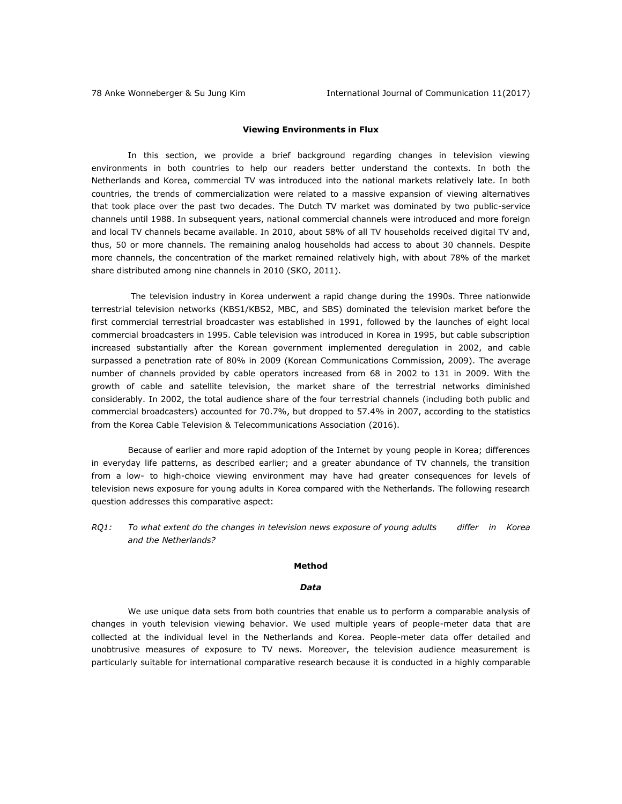#### **Viewing Environments in Flux**

In this section, we provide a brief background regarding changes in television viewing environments in both countries to help our readers better understand the contexts. In both the Netherlands and Korea, commercial TV was introduced into the national markets relatively late. In both countries, the trends of commercialization were related to a massive expansion of viewing alternatives that took place over the past two decades. The Dutch TV market was dominated by two public-service channels until 1988. In subsequent years, national commercial channels were introduced and more foreign and local TV channels became available. In 2010, about 58% of all TV households received digital TV and, thus, 50 or more channels. The remaining analog households had access to about 30 channels. Despite more channels, the concentration of the market remained relatively high, with about 78% of the market share distributed among nine channels in 2010 (SKO, 2011).

The television industry in Korea underwent a rapid change during the 1990s. Three nationwide terrestrial television networks (KBS1/KBS2, MBC, and SBS) dominated the television market before the first commercial terrestrial broadcaster was established in 1991, followed by the launches of eight local commercial broadcasters in 1995. Cable television was introduced in Korea in 1995, but cable subscription increased substantially after the Korean government implemented deregulation in 2002, and cable surpassed a penetration rate of 80% in 2009 (Korean Communications Commission, 2009). The average number of channels provided by cable operators increased from 68 in 2002 to 131 in 2009. With the growth of cable and satellite television, the market share of the terrestrial networks diminished considerably. In 2002, the total audience share of the four terrestrial channels (including both public and commercial broadcasters) accounted for 70.7%, but dropped to 57.4% in 2007, according to the statistics from the Korea Cable Television & Telecommunications Association (2016).

Because of earlier and more rapid adoption of the Internet by young people in Korea; differences in everyday life patterns, as described earlier; and a greater abundance of TV channels, the transition from a low- to high-choice viewing environment may have had greater consequences for levels of television news exposure for young adults in Korea compared with the Netherlands. The following research question addresses this comparative aspect:

*RQ1: To what extent do the changes in television news exposure of young adults differ in Korea and the Netherlands?*

#### **Method**

#### *Data*

We use unique data sets from both countries that enable us to perform a comparable analysis of changes in youth television viewing behavior. We used multiple years of people-meter data that are collected at the individual level in the Netherlands and Korea. People-meter data offer detailed and unobtrusive measures of exposure to TV news. Moreover, the television audience measurement is particularly suitable for international comparative research because it is conducted in a highly comparable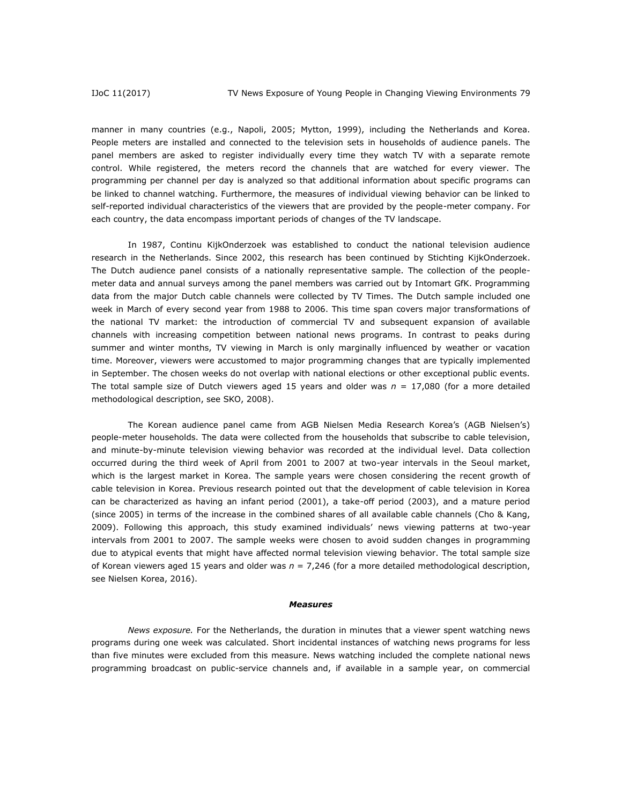manner in many countries (e.g., Napoli, 2005; Mytton, 1999), including the Netherlands and Korea. People meters are installed and connected to the television sets in households of audience panels. The panel members are asked to register individually every time they watch TV with a separate remote control. While registered, the meters record the channels that are watched for every viewer. The programming per channel per day is analyzed so that additional information about specific programs can be linked to channel watching. Furthermore, the measures of individual viewing behavior can be linked to self-reported individual characteristics of the viewers that are provided by the people-meter company. For each country, the data encompass important periods of changes of the TV landscape.

In 1987, Continu KijkOnderzoek was established to conduct the national television audience research in the Netherlands. Since 2002, this research has been continued by Stichting KijkOnderzoek. The Dutch audience panel consists of a nationally representative sample. The collection of the peoplemeter data and annual surveys among the panel members was carried out by Intomart GfK. Programming data from the major Dutch cable channels were collected by TV Times. The Dutch sample included one week in March of every second year from 1988 to 2006. This time span covers major transformations of the national TV market: the introduction of commercial TV and subsequent expansion of available channels with increasing competition between national news programs. In contrast to peaks during summer and winter months, TV viewing in March is only marginally influenced by weather or vacation time. Moreover, viewers were accustomed to major programming changes that are typically implemented in September. The chosen weeks do not overlap with national elections or other exceptional public events. The total sample size of Dutch viewers aged 15 years and older was *n* = 17,080 (for a more detailed methodological description, see SKO, 2008).

The Korean audience panel came from AGB Nielsen Media Research Korea's (AGB Nielsen's) people-meter households. The data were collected from the households that subscribe to cable television, and minute-by-minute television viewing behavior was recorded at the individual level. Data collection occurred during the third week of April from 2001 to 2007 at two-year intervals in the Seoul market, which is the largest market in Korea. The sample years were chosen considering the recent growth of cable television in Korea. Previous research pointed out that the development of cable television in Korea can be characterized as having an infant period (2001), a take-off period (2003), and a mature period (since 2005) in terms of the increase in the combined shares of all available cable channels (Cho & Kang, 2009). Following this approach, this study examined individuals' news viewing patterns at two-year intervals from 2001 to 2007. The sample weeks were chosen to avoid sudden changes in programming due to atypical events that might have affected normal television viewing behavior. The total sample size of Korean viewers aged 15 years and older was *n* = 7,246 (for a more detailed methodological description, see Nielsen Korea, 2016).

#### *Measures*

*News exposure.* For the Netherlands, the duration in minutes that a viewer spent watching news programs during one week was calculated. Short incidental instances of watching news programs for less than five minutes were excluded from this measure. News watching included the complete national news programming broadcast on public-service channels and, if available in a sample year, on commercial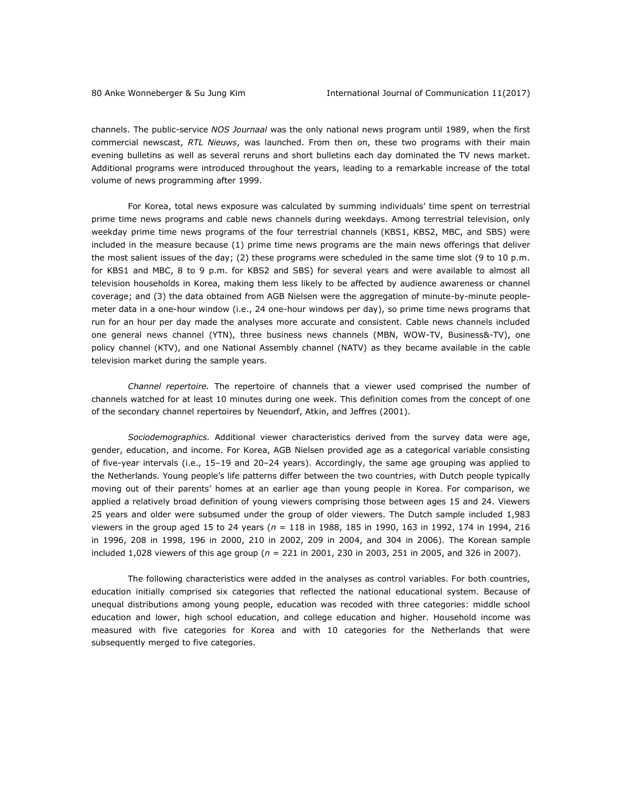channels. The public-service *NOS Journaal* was the only national news program until 1989, when the first commercial newscast, *RTL Nieuws*, was launched. From then on, these two programs with their main evening bulletins as well as several reruns and short bulletins each day dominated the TV news market. Additional programs were introduced throughout the years, leading to a remarkable increase of the total volume of news programming after 1999.

For Korea, total news exposure was calculated by summing individuals' time spent on terrestrial prime time news programs and cable news channels during weekdays. Among terrestrial television, only weekday prime time news programs of the four terrestrial channels (KBS1, KBS2, MBC, and SBS) were included in the measure because (1) prime time news programs are the main news offerings that deliver the most salient issues of the day; (2) these programs were scheduled in the same time slot (9 to 10 p.m. for KBS1 and MBC, 8 to 9 p.m. for KBS2 and SBS) for several years and were available to almost all television households in Korea, making them less likely to be affected by audience awareness or channel coverage; and (3) the data obtained from AGB Nielsen were the aggregation of minute-by-minute peoplemeter data in a one-hour window (i.e., 24 one-hour windows per day), so prime time news programs that run for an hour per day made the analyses more accurate and consistent. Cable news channels included one general news channel (YTN), three business news channels (MBN, WOW-TV, Business&-TV), one policy channel (KTV), and one National Assembly channel (NATV) as they became available in the cable television market during the sample years.

*Channel repertoire.* The repertoire of channels that a viewer used comprised the number of channels watched for at least 10 minutes during one week. This definition comes from the concept of one of the secondary channel repertoires by Neuendorf, Atkin, and Jeffres (2001).

*Sociodemographics.* Additional viewer characteristics derived from the survey data were age, gender, education, and income. For Korea, AGB Nielsen provided age as a categorical variable consisting of five-year intervals (i.e., 15–19 and 20–24 years). Accordingly, the same age grouping was applied to the Netherlands. Young people's life patterns differ between the two countries, with Dutch people typically moving out of their parents' homes at an earlier age than young people in Korea. For comparison, we applied a relatively broad definition of young viewers comprising those between ages 15 and 24. Viewers 25 years and older were subsumed under the group of older viewers. The Dutch sample included 1,983 viewers in the group aged 15 to 24 years (*n* = 118 in 1988, 185 in 1990, 163 in 1992, 174 in 1994, 216 in 1996, 208 in 1998, 196 in 2000, 210 in 2002, 209 in 2004, and 304 in 2006). The Korean sample included 1,028 viewers of this age group (*n* = 221 in 2001, 230 in 2003, 251 in 2005, and 326 in 2007).

The following characteristics were added in the analyses as control variables. For both countries, education initially comprised six categories that reflected the national educational system. Because of unequal distributions among young people, education was recoded with three categories: middle school education and lower, high school education, and college education and higher. Household income was measured with five categories for Korea and with 10 categories for the Netherlands that were subsequently merged to five categories.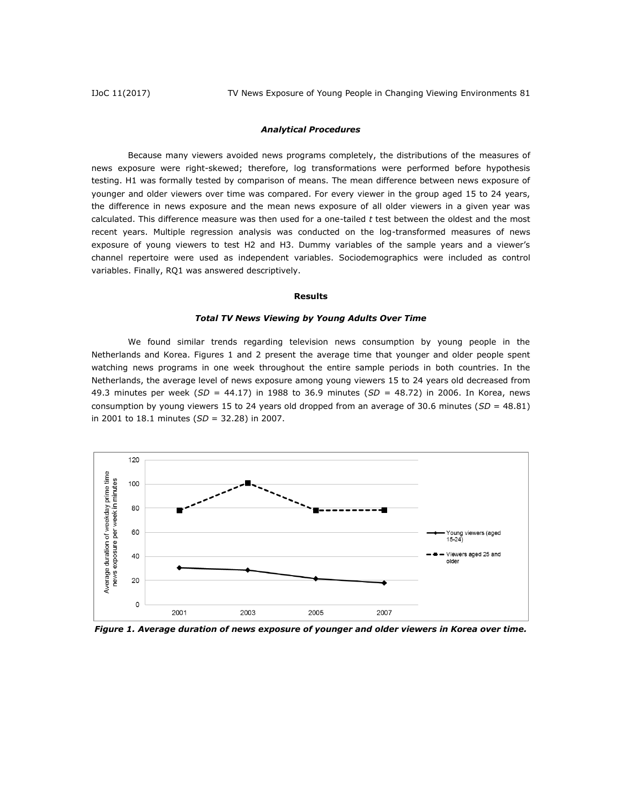#### *Analytical Procedures*

Because many viewers avoided news programs completely, the distributions of the measures of news exposure were right-skewed; therefore, log transformations were performed before hypothesis testing. H1 was formally tested by comparison of means. The mean difference between news exposure of younger and older viewers over time was compared. For every viewer in the group aged 15 to 24 years, the difference in news exposure and the mean news exposure of all older viewers in a given year was calculated. This difference measure was then used for a one-tailed *t* test between the oldest and the most recent years. Multiple regression analysis was conducted on the log-transformed measures of news exposure of young viewers to test H2 and H3. Dummy variables of the sample years and a viewer's channel repertoire were used as independent variables. Sociodemographics were included as control variables. Finally, RQ1 was answered descriptively.

#### **Results**

#### *Total TV News Viewing by Young Adults Over Time*

We found similar trends regarding television news consumption by young people in the Netherlands and Korea. Figures 1 and 2 present the average time that younger and older people spent watching news programs in one week throughout the entire sample periods in both countries. In the Netherlands, the average level of news exposure among young viewers 15 to 24 years old decreased from 49.3 minutes per week (*SD* = 44.17) in 1988 to 36.9 minutes (*SD* = 48.72) in 2006. In Korea, news consumption by young viewers 15 to 24 years old dropped from an average of 30.6 minutes (*SD* = 48.81) in 2001 to 18.1 minutes (*SD* = 32.28) in 2007.



*Figure 1. Average duration of news exposure of younger and older viewers in Korea over time.*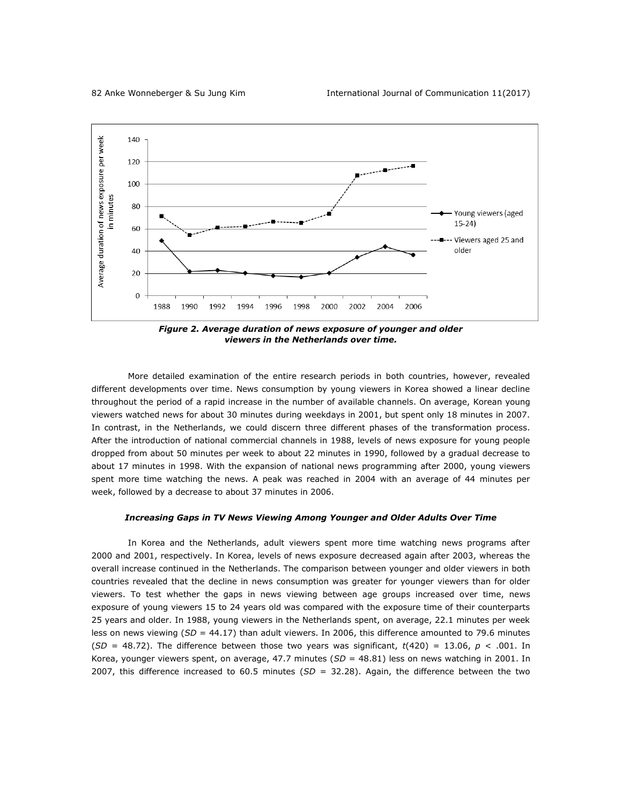

*Figure 2. Average duration of news exposure of younger and older viewers in the Netherlands over time.*

More detailed examination of the entire research periods in both countries, however, revealed different developments over time. News consumption by young viewers in Korea showed a linear decline throughout the period of a rapid increase in the number of available channels. On average, Korean young viewers watched news for about 30 minutes during weekdays in 2001, but spent only 18 minutes in 2007. In contrast, in the Netherlands, we could discern three different phases of the transformation process. After the introduction of national commercial channels in 1988, levels of news exposure for young people dropped from about 50 minutes per week to about 22 minutes in 1990, followed by a gradual decrease to about 17 minutes in 1998. With the expansion of national news programming after 2000, young viewers spent more time watching the news. A peak was reached in 2004 with an average of 44 minutes per week, followed by a decrease to about 37 minutes in 2006.

#### *Increasing Gaps in TV News Viewing Among Younger and Older Adults Over Time*

In Korea and the Netherlands, adult viewers spent more time watching news programs after 2000 and 2001, respectively. In Korea, levels of news exposure decreased again after 2003, whereas the overall increase continued in the Netherlands. The comparison between younger and older viewers in both countries revealed that the decline in news consumption was greater for younger viewers than for older viewers. To test whether the gaps in news viewing between age groups increased over time, news exposure of young viewers 15 to 24 years old was compared with the exposure time of their counterparts 25 years and older. In 1988, young viewers in the Netherlands spent, on average, 22.1 minutes per week less on news viewing (*SD* = 44.17) than adult viewers. In 2006, this difference amounted to 79.6 minutes  $(SD = 48.72)$ . The difference between those two years was significant,  $t(420) = 13.06$ ,  $p < .001$ . In Korea, younger viewers spent, on average, 47.7 minutes (SD = 48.81) less on news watching in 2001. In 2007, this difference increased to 60.5 minutes (*SD* = 32.28). Again, the difference between the two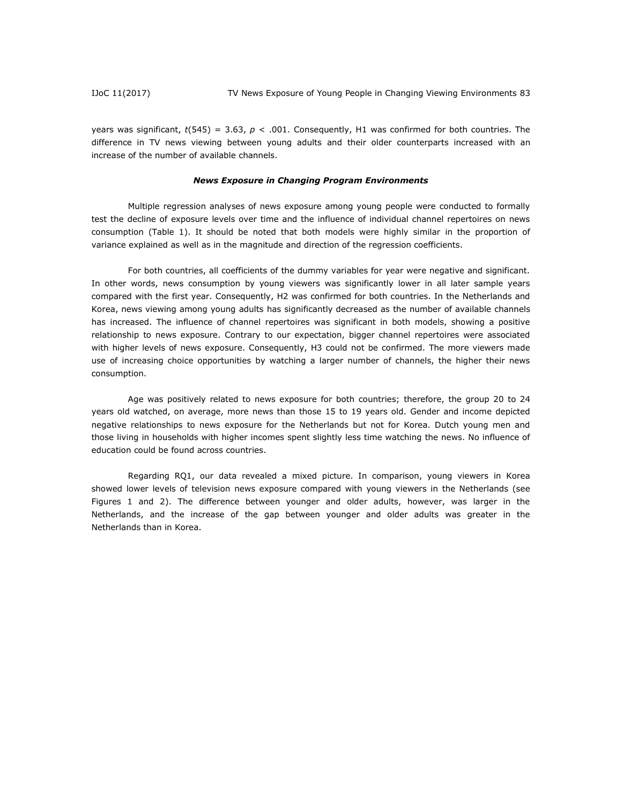years was significant,  $t(545) = 3.63$ ,  $p < .001$ . Consequently, H1 was confirmed for both countries. The difference in TV news viewing between young adults and their older counterparts increased with an increase of the number of available channels.

#### *News Exposure in Changing Program Environments*

Multiple regression analyses of news exposure among young people were conducted to formally test the decline of exposure levels over time and the influence of individual channel repertoires on news consumption (Table 1). It should be noted that both models were highly similar in the proportion of variance explained as well as in the magnitude and direction of the regression coefficients.

For both countries, all coefficients of the dummy variables for year were negative and significant. In other words, news consumption by young viewers was significantly lower in all later sample years compared with the first year. Consequently, H2 was confirmed for both countries. In the Netherlands and Korea, news viewing among young adults has significantly decreased as the number of available channels has increased. The influence of channel repertoires was significant in both models, showing a positive relationship to news exposure. Contrary to our expectation, bigger channel repertoires were associated with higher levels of news exposure. Consequently, H3 could not be confirmed. The more viewers made use of increasing choice opportunities by watching a larger number of channels, the higher their news consumption.

Age was positively related to news exposure for both countries; therefore, the group 20 to 24 years old watched, on average, more news than those 15 to 19 years old. Gender and income depicted negative relationships to news exposure for the Netherlands but not for Korea. Dutch young men and those living in households with higher incomes spent slightly less time watching the news. No influence of education could be found across countries.

Regarding RQ1, our data revealed a mixed picture. In comparison, young viewers in Korea showed lower levels of television news exposure compared with young viewers in the Netherlands (see Figures 1 and 2). The difference between younger and older adults, however, was larger in the Netherlands, and the increase of the gap between younger and older adults was greater in the Netherlands than in Korea.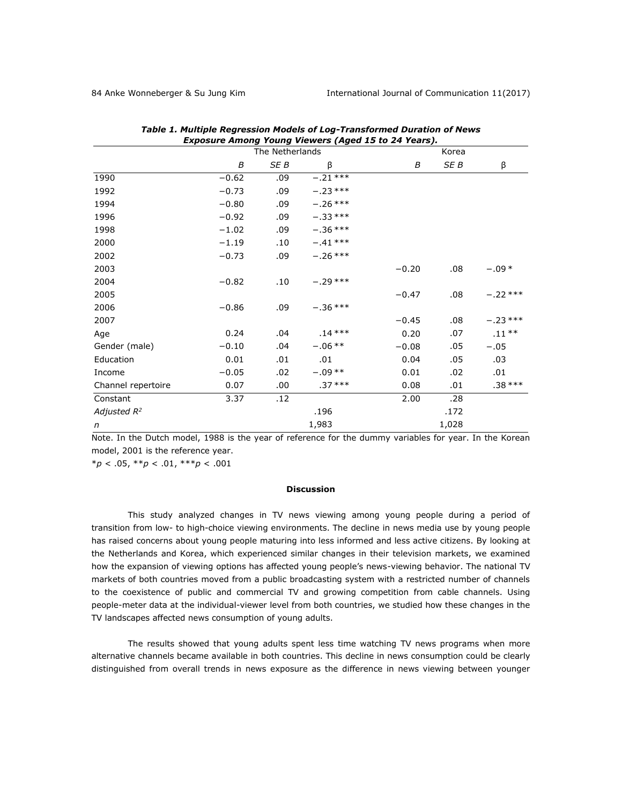| <b>Exposure Among Young Viewers (Aged 15 to 24 Years).</b> |         |                 |           |         |       |           |  |
|------------------------------------------------------------|---------|-----------------|-----------|---------|-------|-----------|--|
|                                                            |         | The Netherlands |           |         | Korea |           |  |
|                                                            | B       | SE B            | β         | B       | SE B  | β         |  |
| 1990                                                       | $-0.62$ | .09             | $-.21***$ |         |       |           |  |
| 1992                                                       | $-0.73$ | .09             | $-.23***$ |         |       |           |  |
| 1994                                                       | $-0.80$ | .09             | $-.26***$ |         |       |           |  |
| 1996                                                       | $-0.92$ | .09             | $-.33***$ |         |       |           |  |
| 1998                                                       | $-1.02$ | .09             | $-.36***$ |         |       |           |  |
| 2000                                                       | $-1.19$ | .10             | $-41***$  |         |       |           |  |
| 2002                                                       | $-0.73$ | .09             | $-.26***$ |         |       |           |  |
| 2003                                                       |         |                 |           | $-0.20$ | .08   | $-.09*$   |  |
| 2004                                                       | $-0.82$ | .10             | $-.29***$ |         |       |           |  |
| 2005                                                       |         |                 |           | $-0.47$ | .08   | $-.22***$ |  |
| 2006                                                       | $-0.86$ | .09             | $-.36***$ |         |       |           |  |
| 2007                                                       |         |                 |           | $-0.45$ | .08   | $-.23***$ |  |
| Age                                                        | 0.24    | .04             | $.14***$  | 0.20    | .07   | $.11***$  |  |
| Gender (male)                                              | $-0.10$ | .04             | $-.06**$  | $-0.08$ | .05   | $-.05$    |  |
| Education                                                  | 0.01    | .01             | .01       | 0.04    | .05   | .03       |  |
| Income                                                     | $-0.05$ | .02             | $-.09**$  | 0.01    | .02   | .01       |  |
| Channel repertoire                                         | 0.07    | .00             | $.37***$  | 0.08    | .01   | $.38***$  |  |
| Constant                                                   | 3.37    | .12             |           | 2.00    | .28   |           |  |
| Adjusted $R^2$                                             |         |                 | .196      |         | .172  |           |  |
| n                                                          |         |                 | 1,983     |         | 1,028 |           |  |

| Table 1. Multiple Regression Models of Log-Transformed Duration of News |
|-------------------------------------------------------------------------|
| Exposure Among Young Viewers (Aged 15 to 24 Years)                      |

Note. In the Dutch model, 1988 is the year of reference for the dummy variables for year. In the Korean model, 2001 is the reference year.

\**p* < .05, \*\**p* < .01, \*\*\**p* < .001

#### **Discussion**

This study analyzed changes in TV news viewing among young people during a period of transition from low- to high-choice viewing environments. The decline in news media use by young people has raised concerns about young people maturing into less informed and less active citizens. By looking at the Netherlands and Korea, which experienced similar changes in their television markets, we examined how the expansion of viewing options has affected young people's news-viewing behavior. The national TV markets of both countries moved from a public broadcasting system with a restricted number of channels to the coexistence of public and commercial TV and growing competition from cable channels. Using people-meter data at the individual-viewer level from both countries, we studied how these changes in the TV landscapes affected news consumption of young adults.

The results showed that young adults spent less time watching TV news programs when more alternative channels became available in both countries. This decline in news consumption could be clearly distinguished from overall trends in news exposure as the difference in news viewing between younger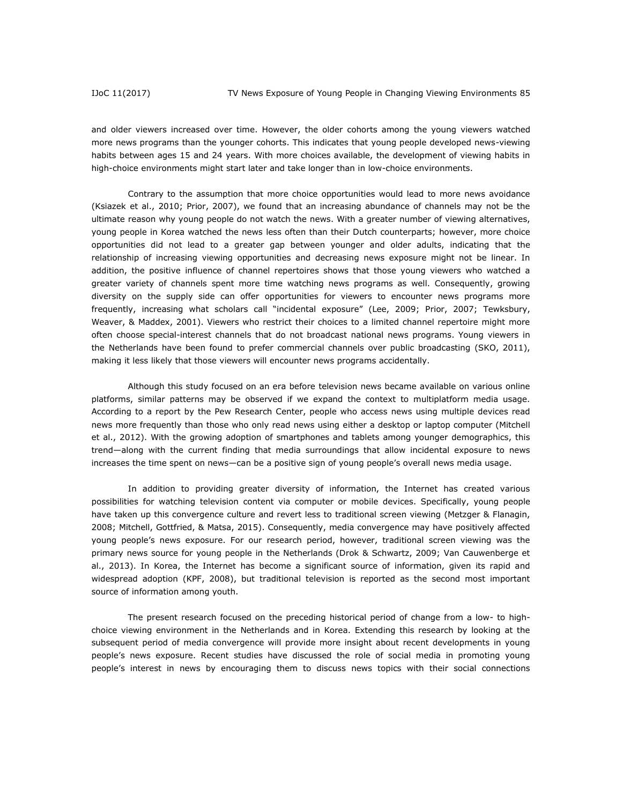and older viewers increased over time. However, the older cohorts among the young viewers watched more news programs than the younger cohorts. This indicates that young people developed news-viewing habits between ages 15 and 24 years. With more choices available, the development of viewing habits in high-choice environments might start later and take longer than in low-choice environments.

Contrary to the assumption that more choice opportunities would lead to more news avoidance (Ksiazek et al., 2010; Prior, 2007), we found that an increasing abundance of channels may not be the ultimate reason why young people do not watch the news. With a greater number of viewing alternatives, young people in Korea watched the news less often than their Dutch counterparts; however, more choice opportunities did not lead to a greater gap between younger and older adults, indicating that the relationship of increasing viewing opportunities and decreasing news exposure might not be linear. In addition, the positive influence of channel repertoires shows that those young viewers who watched a greater variety of channels spent more time watching news programs as well. Consequently, growing diversity on the supply side can offer opportunities for viewers to encounter news programs more frequently, increasing what scholars call "incidental exposure" (Lee, 2009; Prior, 2007; Tewksbury, Weaver, & Maddex, 2001). Viewers who restrict their choices to a limited channel repertoire might more often choose special-interest channels that do not broadcast national news programs. Young viewers in the Netherlands have been found to prefer commercial channels over public broadcasting (SKO, 2011), making it less likely that those viewers will encounter news programs accidentally.

Although this study focused on an era before television news became available on various online platforms, similar patterns may be observed if we expand the context to multiplatform media usage. According to a report by the Pew Research Center, people who access news using multiple devices read news more frequently than those who only read news using either a desktop or laptop computer (Mitchell et al., 2012). With the growing adoption of smartphones and tablets among younger demographics, this trend—along with the current finding that media surroundings that allow incidental exposure to news increases the time spent on news—can be a positive sign of young people's overall news media usage.

In addition to providing greater diversity of information, the Internet has created various possibilities for watching television content via computer or mobile devices. Specifically, young people have taken up this convergence culture and revert less to traditional screen viewing (Metzger & Flanagin, 2008; Mitchell, Gottfried, & Matsa, 2015). Consequently, media convergence may have positively affected young people's news exposure. For our research period, however, traditional screen viewing was the primary news source for young people in the Netherlands (Drok & Schwartz, 2009; Van Cauwenberge et al., 2013). In Korea, the Internet has become a significant source of information, given its rapid and widespread adoption (KPF, 2008), but traditional television is reported as the second most important source of information among youth.

The present research focused on the preceding historical period of change from a low- to highchoice viewing environment in the Netherlands and in Korea. Extending this research by looking at the subsequent period of media convergence will provide more insight about recent developments in young people's news exposure. Recent studies have discussed the role of social media in promoting young people's interest in news by encouraging them to discuss news topics with their social connections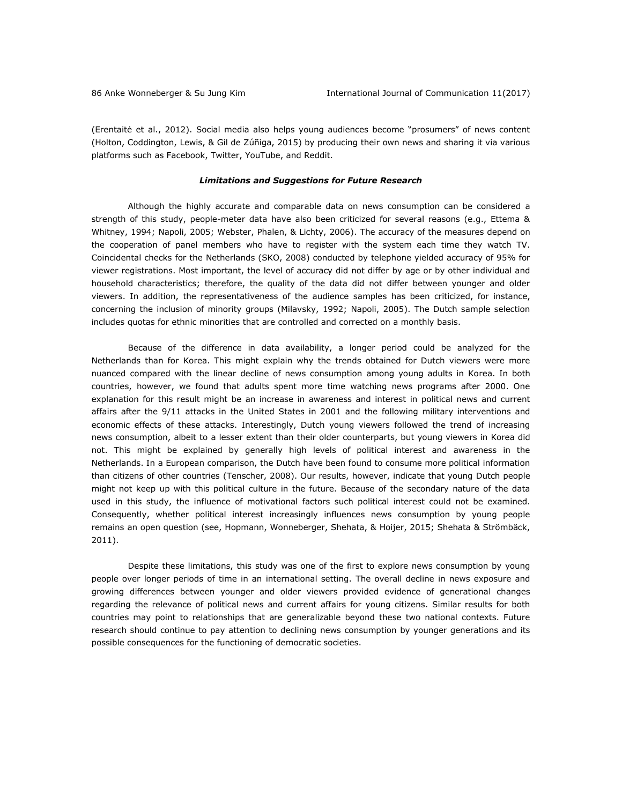(Erentaitė et al., 2012). Social media also helps young audiences become "prosumers" of news content (Holton, Coddington, Lewis, & Gil de Zúñiga, 2015) by producing their own news and sharing it via various platforms such as Facebook, Twitter, YouTube, and Reddit.

#### *Limitations and Suggestions for Future Research*

Although the highly accurate and comparable data on news consumption can be considered a strength of this study, people-meter data have also been criticized for several reasons (e.g., Ettema & Whitney, 1994; Napoli, 2005; Webster, Phalen, & Lichty, 2006). The accuracy of the measures depend on the cooperation of panel members who have to register with the system each time they watch TV. Coincidental checks for the Netherlands (SKO, 2008) conducted by telephone yielded accuracy of 95% for viewer registrations. Most important, the level of accuracy did not differ by age or by other individual and household characteristics; therefore, the quality of the data did not differ between younger and older viewers. In addition, the representativeness of the audience samples has been criticized, for instance, concerning the inclusion of minority groups (Milavsky, 1992; Napoli, 2005). The Dutch sample selection includes quotas for ethnic minorities that are controlled and corrected on a monthly basis.

Because of the difference in data availability, a longer period could be analyzed for the Netherlands than for Korea. This might explain why the trends obtained for Dutch viewers were more nuanced compared with the linear decline of news consumption among young adults in Korea. In both countries, however, we found that adults spent more time watching news programs after 2000. One explanation for this result might be an increase in awareness and interest in political news and current affairs after the 9/11 attacks in the United States in 2001 and the following military interventions and economic effects of these attacks. Interestingly, Dutch young viewers followed the trend of increasing news consumption, albeit to a lesser extent than their older counterparts, but young viewers in Korea did not. This might be explained by generally high levels of political interest and awareness in the Netherlands. In a European comparison, the Dutch have been found to consume more political information than citizens of other countries (Tenscher, 2008). Our results, however, indicate that young Dutch people might not keep up with this political culture in the future. Because of the secondary nature of the data used in this study, the influence of motivational factors such political interest could not be examined. Consequently, whether political interest increasingly influences news consumption by young people remains an open question (see, Hopmann, Wonneberger, Shehata, & Hoijer, 2015; Shehata & Strömbäck, 2011).

Despite these limitations, this study was one of the first to explore news consumption by young people over longer periods of time in an international setting. The overall decline in news exposure and growing differences between younger and older viewers provided evidence of generational changes regarding the relevance of political news and current affairs for young citizens. Similar results for both countries may point to relationships that are generalizable beyond these two national contexts. Future research should continue to pay attention to declining news consumption by younger generations and its possible consequences for the functioning of democratic societies.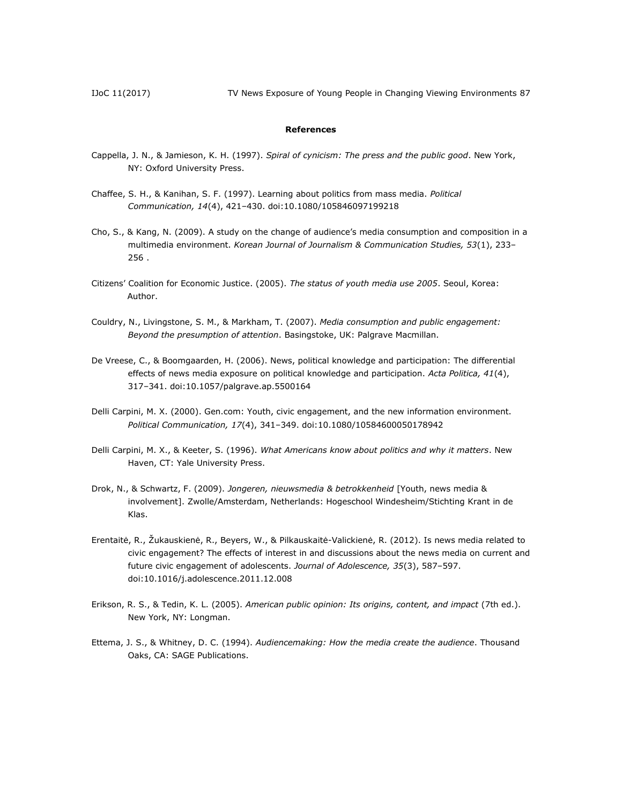IJoC 11(2017) TV News Exposure of Young People in Changing Viewing Environments 87

#### **References**

- Cappella, J. N., & Jamieson, K. H. (1997). *Spiral of cynicism: The press and the public good*. New York, NY: Oxford University Press.
- Chaffee, S. H., & Kanihan, S. F. (1997). Learning about politics from mass media. *Political Communication, 14*(4), 421–430. doi:10.1080/105846097199218
- Cho, S., & Kang, N. (2009). A study on the change of audience's media consumption and composition in a multimedia environment. *Korean Journal of Journalism & Communication Studies, 53*(1), 233– 256 .
- Citizens' Coalition for Economic Justice. (2005). *The status of youth media use 2005*. Seoul, Korea: Author.
- Couldry, N., Livingstone, S. M., & Markham, T. (2007). *Media consumption and public engagement: Beyond the presumption of attention*. Basingstoke, UK: Palgrave Macmillan.
- De Vreese, C., & Boomgaarden, H. (2006). News, political knowledge and participation: The differential effects of news media exposure on political knowledge and participation. *Acta Politica, 41*(4), 317–341. doi:10.1057/palgrave.ap.5500164
- Delli Carpini, M. X. (2000). Gen.com: Youth, civic engagement, and the new information environment. *Political Communication, 17*(4), 341–349. doi:10.1080/10584600050178942
- Delli Carpini, M. X., & Keeter, S. (1996). *What Americans know about politics and why it matters*. New Haven, CT: Yale University Press.
- Drok, N., & Schwartz, F. (2009). *Jongeren, nieuwsmedia & betrokkenheid* [Youth, news media & involvement]. Zwolle/Amsterdam, Netherlands: Hogeschool Windesheim/Stichting Krant in de Klas.
- Erentaitė, R., Žukauskienė, R., Beyers, W., & Pilkauskaitė-Valickienė, R. (2012). Is news media related to civic engagement? The effects of interest in and discussions about the news media on current and future civic engagement of adolescents. *Journal of Adolescence, 35*(3), 587–597. doi:10.1016/j.adolescence.2011.12.008
- Erikson, R. S., & Tedin, K. L. (2005). *American public opinion: Its origins, content, and impact* (7th ed.). New York, NY: Longman.
- Ettema, J. S., & Whitney, D. C. (1994). *Audiencemaking: How the media create the audience*. Thousand Oaks, CA: SAGE Publications.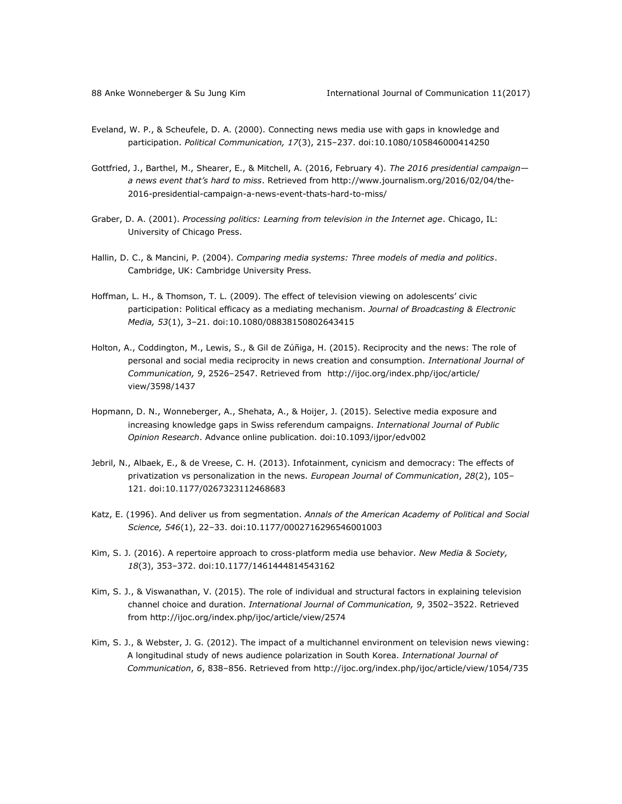- Eveland, W. P., & Scheufele, D. A. (2000). Connecting news media use with gaps in knowledge and participation. *Political Communication, 17*(3), 215–237. doi:10.1080/105846000414250
- Gottfried, J., Barthel, M., Shearer, E., & Mitchell, A. (2016, February 4). *The 2016 presidential campaign a news event that's hard to miss*. Retrieved from [http://www.journalism.org/2016/02/04/the-](http://www.journalism.org/2016/02/04/the-2016-presidential-campaign-a-news-event-thats-hard-to-miss/)[2016-presidential-campaign-a-news-event-thats-hard-to-miss/](http://www.journalism.org/2016/02/04/the-2016-presidential-campaign-a-news-event-thats-hard-to-miss/)
- Graber, D. A. (2001). *Processing politics: Learning from television in the Internet age*. Chicago, IL: University of Chicago Press.
- Hallin, D. C., & Mancini, P. (2004). *Comparing media systems: Three models of media and politics*. Cambridge, UK: Cambridge University Press.
- Hoffman, L. H., & Thomson, T. L. (2009). The effect of television viewing on adolescents' civic participation: Political efficacy as a mediating mechanism. *Journal of Broadcasting & Electronic Media, 53*(1), 3–21. doi:10.1080/08838150802643415
- Holton, A., Coddington, M., Lewis, S., & Gil de Zúñiga, H. (2015). Reciprocity and the news: The role of personal and social media reciprocity in news creation and consumption. *International Journal of Communication, 9*, 2526–2547. Retrieved from [http://ijoc.org/index.php/ijoc/article/](http://ijoc.org/index.php/ijoc/article/%0bview/3598/1437) [view/3598/1437](http://ijoc.org/index.php/ijoc/article/%0bview/3598/1437)
- Hopmann, D. N., Wonneberger, A., Shehata, A., & Hoijer, J. (2015). Selective media exposure and increasing knowledge gaps in Swiss referendum campaigns. *International Journal of Public Opinion Research*. Advance online publication. doi:10.1093/ijpor/edv002
- Jebril, N., Albaek, E., & de Vreese, C. H. (2013). Infotainment, cynicism and democracy: The effects of privatization vs personalization in the news. *European Journal of Communication*, *28*(2), 105– 121. doi:10.1177/0267323112468683
- Katz, E. (1996). And deliver us from segmentation. *Annals of the American Academy of Political and Social Science, 546*(1), 22–33. doi:10.1177/0002716296546001003
- Kim, S. J. (2016). A repertoire approach to cross-platform media use behavior. *New Media & Society, 18*(3), 353–372. doi:10.1177/1461444814543162
- Kim, S. J., & Viswanathan, V. (2015). The role of individual and structural factors in explaining television channel choice and duration. *International Journal of Communication, 9*, 3502–3522. Retrieved from http://ijoc.org/index.php/ijoc/article/view/2574
- Kim, S. J., & Webster, J. G. (2012). The impact of a multichannel environment on television news viewing: A longitudinal study of news audience polarization in South Korea. *International Journal of Communication*, *6*, 838–856. Retrieved fro[m http://ijoc.org/index.php/ijoc/article/view/1054/735](http://ijoc.org/index.php/ijoc/article/view/1054/735)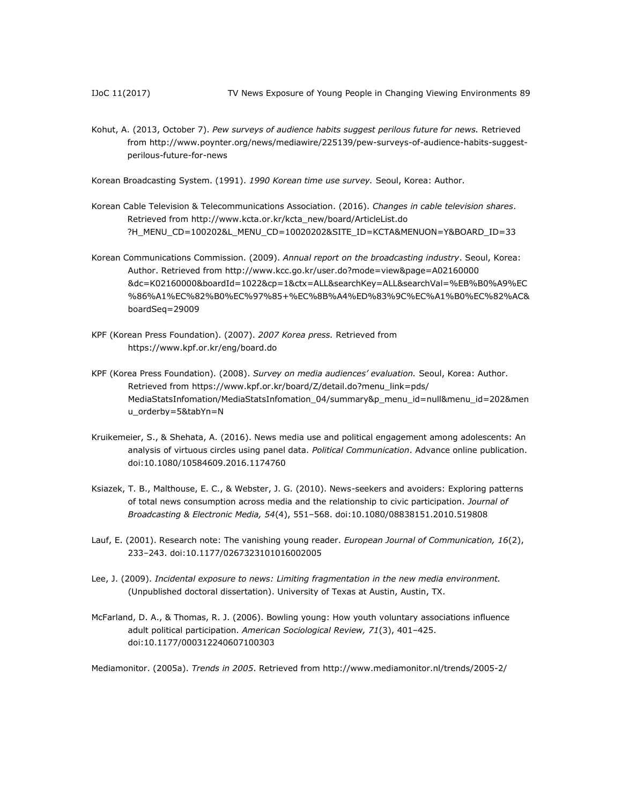Kohut, A. (2013, October 7). *Pew surveys of audience habits suggest perilous future for news.* Retrieved from http:/[/www.poynter.org/news/mediawire/225139/pew-surveys-of-audience-habits-suggest](http://www.poynter.org/news/mediawire/225139/pew-surveys-of-audience-habits-suggest-perilous-future-for-news)[perilous-future-for-news](http://www.poynter.org/news/mediawire/225139/pew-surveys-of-audience-habits-suggest-perilous-future-for-news)

Korean Broadcasting System. (1991). *1990 Korean time use survey.* Seoul, Korea: Author.

- Korean Cable Television & Telecommunications Association. (2016). *Changes in cable television shares*. Retrieved from [http://www.kcta.or.kr/kcta\\_new/board/ArticleList.do](http://www.kcta.or.kr/kcta_new/board/ArticleList.do%0b?H_MENU_CD=100202&L_MENU_CD=10020202&SITE_ID=KCTA&MENUON=Y&BOARD_ID=33) [?H\\_MENU\\_CD=100202&L\\_MENU\\_CD=10020202&SITE\\_ID=KCTA&MENUON=Y&BOARD\\_ID=33](http://www.kcta.or.kr/kcta_new/board/ArticleList.do%0b?H_MENU_CD=100202&L_MENU_CD=10020202&SITE_ID=KCTA&MENUON=Y&BOARD_ID=33)
- Korean Communications Commission. (2009). *Annual report on the broadcasting industry*. Seoul, Korea: Author. Retrieved from [http://www.kcc.go.kr/user.do?mode=view&page=A02160000](http://www.kcc.go.kr/user.do?mode=view&page=A02160000%0b&dc=K02160000&boardId=1022&cp=1&ctx=ALL&searchKey=ALL&searchVal=%EB%B0%A9%EC%86%A1%EC%82%B0%EC%97%85+%EC%8B%A4%ED%83%9C%EC%A1%B0%EC%82%AC&boardSeq=29009) [&dc=K02160000&boardId=1022&cp=1&ctx=ALL&searchKey=ALL&searchVal=%EB%B0%A9%EC](http://www.kcc.go.kr/user.do?mode=view&page=A02160000%0b&dc=K02160000&boardId=1022&cp=1&ctx=ALL&searchKey=ALL&searchVal=%EB%B0%A9%EC%86%A1%EC%82%B0%EC%97%85+%EC%8B%A4%ED%83%9C%EC%A1%B0%EC%82%AC&boardSeq=29009) [%86%A1%EC%82%B0%EC%97%85+%EC%8B%A4%ED%83%9C%EC%A1%B0%EC%82%AC&](http://www.kcc.go.kr/user.do?mode=view&page=A02160000%0b&dc=K02160000&boardId=1022&cp=1&ctx=ALL&searchKey=ALL&searchVal=%EB%B0%A9%EC%86%A1%EC%82%B0%EC%97%85+%EC%8B%A4%ED%83%9C%EC%A1%B0%EC%82%AC&boardSeq=29009) [boardSeq=29009](http://www.kcc.go.kr/user.do?mode=view&page=A02160000%0b&dc=K02160000&boardId=1022&cp=1&ctx=ALL&searchKey=ALL&searchVal=%EB%B0%A9%EC%86%A1%EC%82%B0%EC%97%85+%EC%8B%A4%ED%83%9C%EC%A1%B0%EC%82%AC&boardSeq=29009)
- KPF (Korean Press Foundation). (2007). *2007 Korea press.* Retrieved from <https://www.kpf.or.kr/eng/board.do>
- KPF (Korea Press Foundation). (2008). *Survey on media audiences' evaluation.* Seoul, Korea: Author. Retrieved from [https://www.kpf.or.kr/board/Z/detail.do?menu\\_link=pds/](https://www.kpf.or.kr/board/Z/detail.do?menu_link=pds/%0bMediaStatsInfomation/MediaStatsInfomation_04/summary&p_menu_id=null&menu_id=202&menu_orderby=5&tabYn=N) MediaStatsInfomation/MediaStatsInfomation 04/summary&p menu id=null&menu id=202&men [u\\_orderby=5&tabYn=N](https://www.kpf.or.kr/board/Z/detail.do?menu_link=pds/%0bMediaStatsInfomation/MediaStatsInfomation_04/summary&p_menu_id=null&menu_id=202&menu_orderby=5&tabYn=N)
- Kruikemeier, S., & Shehata, A. (2016). News media use and political engagement among adolescents: An analysis of virtuous circles using panel data. *Political Communication*. Advance online publication. doi:10.1080/10584609.2016.1174760
- Ksiazek, T. B., Malthouse, E. C., & Webster, J. G. (2010). News-seekers and avoiders: Exploring patterns of total news consumption across media and the relationship to civic participation. *Journal of Broadcasting & Electronic Media, 54*(4), 551–568. doi:10.1080/08838151.2010.519808
- Lauf, E. (2001). Research note: The vanishing young reader. *European Journal of Communication, 16*(2), 233–243. doi:10.1177/0267323101016002005
- Lee, J. (2009). *Incidental exposure to news: Limiting fragmentation in the new media environment.* (Unpublished doctoral dissertation). University of Texas at Austin, Austin, TX.
- McFarland, D. A., & Thomas, R. J. (2006). Bowling young: How youth voluntary associations influence adult political participation. *American Sociological Review, 71*(3), 401–425. doi:10.1177/000312240607100303

Mediamonitor. (2005a). *Trends in 2005*. Retrieved from<http://www.mediamonitor.nl/trends/2005-2/>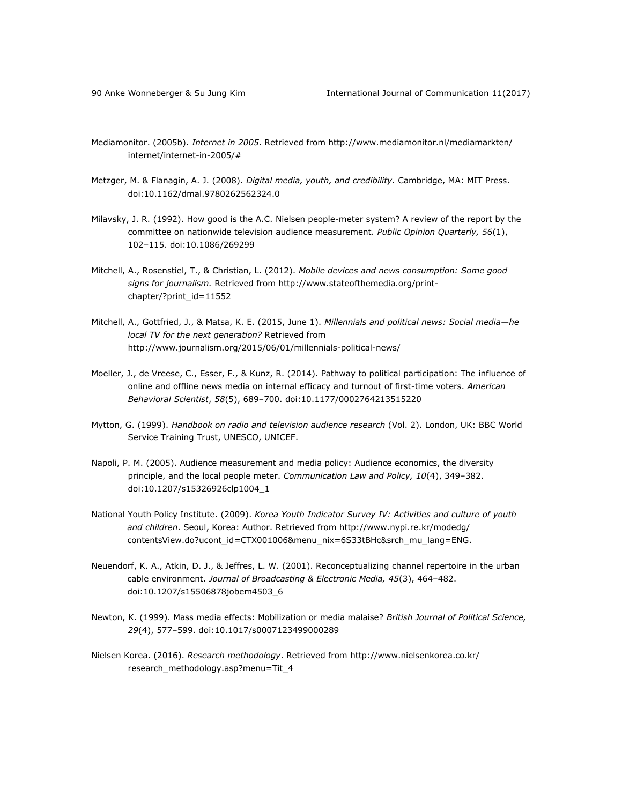- Mediamonitor. (2005b). *Internet in 2005*. Retrieved from [http://www.mediamonitor.nl/mediamarkten/](http://www.mediamonitor.nl/mediamarkten/%0binternet/internet-in-2005/) [internet/internet-in-2005/#](http://www.mediamonitor.nl/mediamarkten/%0binternet/internet-in-2005/)
- Metzger, M. & Flanagin, A. J. (2008). *Digital media, youth, and credibility.* Cambridge, MA: MIT Press. doi:10.1162/dmal.9780262562324.0
- Milavsky, J. R. (1992). How good is the A.C. Nielsen people-meter system? A review of the report by the committee on nationwide television audience measurement. *Public Opinion Quarterly, 56*(1), 102–115. doi:10.1086/269299
- Mitchell, A., Rosenstiel, T., & Christian, L. (2012). *Mobile devices and news consumption: Some good signs for journalism.* Retrieved from [http://www.stateofthemedia.org/print](http://www.stateofthemedia.org/print-chapter/?print_id=11552)[chapter/?print\\_id=11552](http://www.stateofthemedia.org/print-chapter/?print_id=11552)
- Mitchell, A., Gottfried, J., & Matsa, K. E. (2015, June 1). *Millennials and political news: Social media—he local TV for the next generation?* Retrieved from <http://www.journalism.org/2015/06/01/millennials-political-news/>
- Moeller, J., de Vreese, C., Esser, F., & Kunz, R. (2014). Pathway to political participation: The influence of online and offline news media on internal efficacy and turnout of first-time voters. *American Behavioral Scientist*, *58*(5), 689–700. doi:10.1177/0002764213515220
- Mytton, G. (1999). *Handbook on radio and television audience research* (Vol. 2). London, UK: BBC World Service Training Trust, UNESCO, UNICEF.
- Napoli, P. M. (2005). Audience measurement and media policy: Audience economics, the diversity principle, and the local people meter. *Communication Law and Policy, 10*(4), 349–382. doi:10.1207/s15326926clp1004\_1
- National Youth Policy Institute. (2009). *Korea Youth Indicator Survey IV: Activities and culture of youth and children*. Seoul, Korea: Author. Retrieved from [http://www.nypi.re.kr/modedg/](http://www.nypi.re.kr/modedg/%0bcontentsView.do?ucont_id=CTX001006&menu_nix=6S33tBHc&srch_mu_lang=ENG) [contentsView.do?ucont\\_id=CTX001006&menu\\_nix=6S33tBHc&srch\\_mu\\_lang=ENG.](http://www.nypi.re.kr/modedg/%0bcontentsView.do?ucont_id=CTX001006&menu_nix=6S33tBHc&srch_mu_lang=ENG)
- Neuendorf, K. A., Atkin, D. J., & Jeffres, L. W. (2001). Reconceptualizing channel repertoire in the urban cable environment. *Journal of Broadcasting & Electronic Media, 45*(3), 464–482. doi:10.1207/s15506878jobem4503\_6
- Newton, K. (1999). Mass media effects: Mobilization or media malaise? *British Journal of Political Science, 29*(4), 577–599. doi:10.1017/s0007123499000289
- Nielsen Korea. (2016). *Research methodology*. Retrieved fro[m http://www.nielsenkorea.co.kr/](http://www.nielsenkorea.co.kr/%0bresearch_methodology.asp?menu=Tit_4) [research\\_methodology.asp?menu=Tit\\_4](http://www.nielsenkorea.co.kr/%0bresearch_methodology.asp?menu=Tit_4)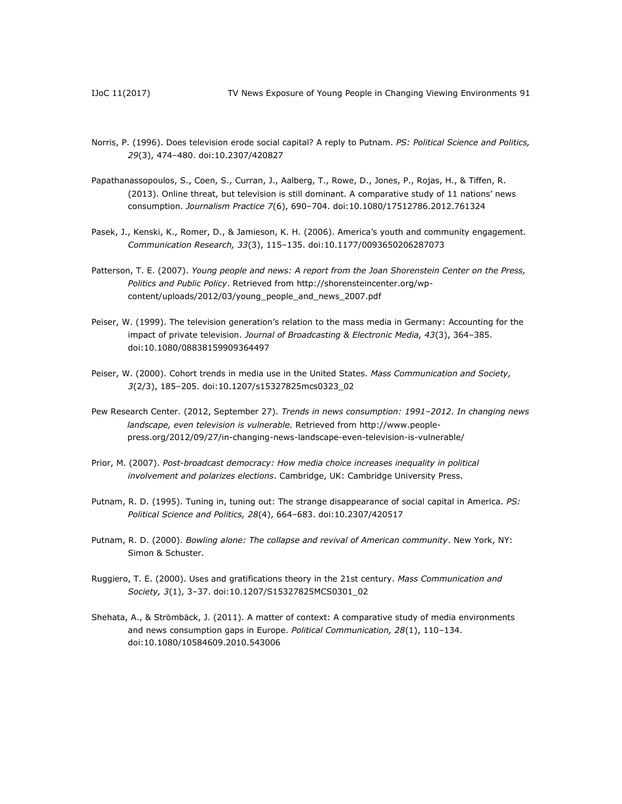- Norris, P. (1996). Does television erode social capital? A reply to Putnam. *PS: Political Science and Politics, 29*(3), 474–480. doi:10.2307/420827
- Papathanassopoulos, S., Coen, S., Curran, J., Aalberg, T., Rowe, D., Jones, P., Rojas, H., & Tiffen, R. (2013). Online threat, but television is still dominant. A comparative study of 11 nations' news consumption. *Journalism Practice 7*(6), 690–704. doi:10.1080/17512786.2012.761324
- Pasek, J., Kenski, K., Romer, D., & Jamieson, K. H. (2006). America's youth and community engagement. *Communication Research, 33*(3), 115–135. doi:10.1177/0093650206287073
- Patterson, T. E. (2007). *Young people and news: A report from the Joan Shorenstein Center on the Press, Politics and Public Policy*. Retrieved from [http://shorensteincenter.org/wp](http://shorensteincenter.org/wp-content/uploads/2012/03/young_people_and_news_2007.pdf)[content/uploads/2012/03/young\\_people\\_and\\_news\\_2007.pdf](http://shorensteincenter.org/wp-content/uploads/2012/03/young_people_and_news_2007.pdf)
- Peiser, W. (1999). The television generation's relation to the mass media in Germany: Accounting for the impact of private television. *Journal of Broadcasting & Electronic Media, 43*(3), 364–385. doi:10.1080/08838159909364497
- Peiser, W. (2000). Cohort trends in media use in the United States. *Mass Communication and Society, 3*(2/3), 185–205. doi:10.1207/s15327825mcs0323\_02
- Pew Research Center. (2012, September 27). *Trends in news consumption: 1991–2012. In changing news landscape, even television is vulnerable.* Retrieved from [http://www.people](http://www.people-press.org/2012/09/27/in-changing-news-landscape-even-television-is-vulnerable/)[press.org/2012/09/27/in-changing-news-landscape-even-television-is-vulnerable/](http://www.people-press.org/2012/09/27/in-changing-news-landscape-even-television-is-vulnerable/)
- Prior, M. (2007). *Post-broadcast democracy: How media choice increases inequality in political involvement and polarizes elections*. Cambridge, UK: Cambridge University Press.
- Putnam, R. D. (1995). Tuning in, tuning out: The strange disappearance of social capital in America. *PS: Political Science and Politics, 28*(4), 664–683. doi:10.2307/420517
- Putnam, R. D. (2000). *Bowling alone: The collapse and revival of American community*. New York, NY: Simon & Schuster.
- Ruggiero, T. E. (2000). Uses and gratifications theory in the 21st century. *Mass Communication and Society, 3*(1), 3–37. doi:10.1207/S15327825MCS0301\_02
- Shehata, A., & Strömbäck, J. (2011). A matter of context: A comparative study of media environments and news consumption gaps in Europe. *Political Communication, 28*(1), 110–134. doi:10.1080/10584609.2010.543006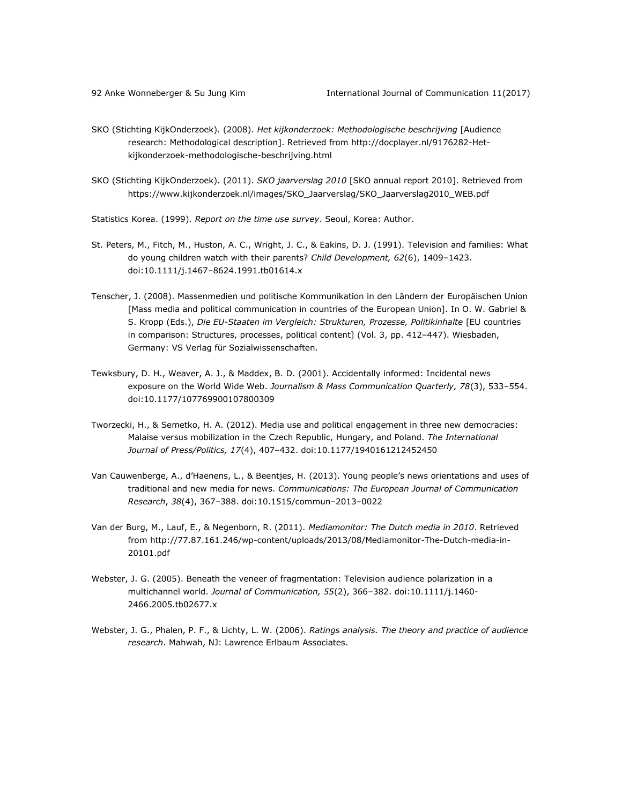- SKO (Stichting KijkOnderzoek). (2008). *Het kijkonderzoek: Methodologische beschrijving* [Audience research: Methodological description]. Retrieved from [http://docplayer.nl/9176282-Het](http://docplayer.nl/9176282-Het-kijkonderzoek-methodologische-beschrijving.html)[kijkonderzoek-methodologische-beschrijving.html](http://docplayer.nl/9176282-Het-kijkonderzoek-methodologische-beschrijving.html)
- SKO (Stichting KijkOnderzoek). (2011). *SKO jaarverslag 2010* [SKO annual report 2010]. Retrieved from [https://www.kijkonderzoek.nl/images/SKO\\_Jaarverslag/SKO\\_Jaarverslag2010\\_WEB.pdf](https://www.kijkonderzoek.nl/images/SKO_Jaarverslag/SKO_Jaarverslag2010_WEB.pdf)

Statistics Korea. (1999). *Report on the time use survey*. Seoul, Korea: Author.

- St. Peters, M., Fitch, M., Huston, A. C., Wright, J. C., & Eakins, D. J. (1991). Television and families: What do young children watch with their parents? *Child Development, 62*(6), 1409–1423. doi:10.1111/j.1467–8624.1991.tb01614.x
- Tenscher, J. (2008). Massenmedien und politische Kommunikation in den Ländern der Europäischen Union [Mass media and political communication in countries of the European Union]. In O. W. Gabriel & S. Kropp (Eds.), *Die EU-Staaten im Vergleich: Strukturen, Prozesse, Politikinhalte* [EU countries in comparison: Structures, processes, political content] (Vol. 3, pp. 412–447). Wiesbaden, Germany: VS Verlag für Sozialwissenschaften.
- Tewksbury, D. H., Weaver, A. J., & Maddex, B. D. (2001). Accidentally informed: Incidental news exposure on the World Wide Web. *Journalism & Mass Communication Quarterly, 78*(3), 533–554. doi:10.1177/107769900107800309
- Tworzecki, H., & Semetko, H. A. (2012). Media use and political engagement in three new democracies: Malaise versus mobilization in the Czech Republic, Hungary, and Poland. *The International Journal of Press/Politics, 17*(4), 407–432. doi:10.1177/1940161212452450
- Van Cauwenberge, A., d'Haenens, L., & Beentjes, H. (2013). Young people's news orientations and uses of traditional and new media for news. *Communications: The European Journal of Communication Research*, *38*(4), 367–388. doi:10.1515/commun–2013–0022
- Van der Burg, M., Lauf, E., & Negenborn, R. (2011). *Mediamonitor: The Dutch media in 2010*. Retrieved from [http://77.87.161.246/wp-content/uploads/2013/08/Mediamonitor-The-Dutch-media-in-](http://77.87.161.246/wp-content/uploads/2013/08/Mediamonitor-The-Dutch-media-in-20101.pdf)[20101.pdf](http://77.87.161.246/wp-content/uploads/2013/08/Mediamonitor-The-Dutch-media-in-20101.pdf)
- Webster, J. G. (2005). Beneath the veneer of fragmentation: Television audience polarization in a multichannel world. *Journal of Communication, 55*(2), 366–382. doi:10.1111/j.1460- 2466.2005.tb02677.x
- Webster, J. G., Phalen, P. F., & Lichty, L. W. (2006). *Ratings analysis. The theory and practice of audience research*. Mahwah, NJ: Lawrence Erlbaum Associates.